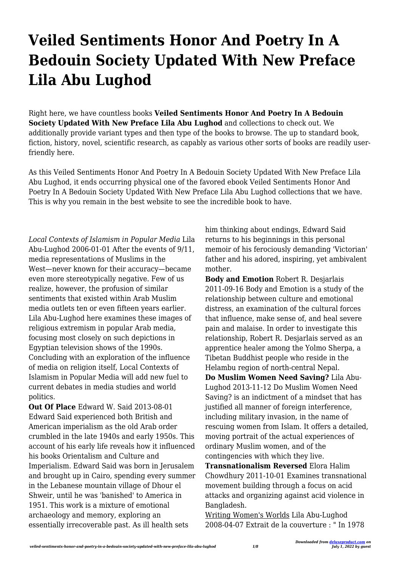# **Veiled Sentiments Honor And Poetry In A Bedouin Society Updated With New Preface Lila Abu Lughod**

Right here, we have countless books **Veiled Sentiments Honor And Poetry In A Bedouin Society Updated With New Preface Lila Abu Lughod** and collections to check out. We additionally provide variant types and then type of the books to browse. The up to standard book, fiction, history, novel, scientific research, as capably as various other sorts of books are readily userfriendly here.

As this Veiled Sentiments Honor And Poetry In A Bedouin Society Updated With New Preface Lila Abu Lughod, it ends occurring physical one of the favored ebook Veiled Sentiments Honor And Poetry In A Bedouin Society Updated With New Preface Lila Abu Lughod collections that we have. This is why you remain in the best website to see the incredible book to have.

*Local Contexts of Islamism in Popular Media* Lila Abu-Lughod 2006-01-01 After the events of 9/11, media representations of Muslims in the West—never known for their accuracy—became even more stereotypically negative. Few of us realize, however, the profusion of similar sentiments that existed within Arab Muslim media outlets ten or even fifteen years earlier. Lila Abu-Lughod here examines these images of religious extremism in popular Arab media, focusing most closely on such depictions in Egyptian television shows of the 1990s. Concluding with an exploration of the influence of media on religion itself, Local Contexts of Islamism in Popular Media will add new fuel to current debates in media studies and world politics.

**Out Of Place** Edward W. Said 2013-08-01 Edward Said experienced both British and American imperialism as the old Arab order crumbled in the late 1940s and early 1950s. This account of his early life reveals how it influenced his books Orientalism and Culture and Imperialism. Edward Said was born in Jerusalem and brought up in Cairo, spending every summer in the Lebanese mountain village of Dhour el Shweir, until he was 'banished' to America in 1951. This work is a mixture of emotional archaeology and memory, exploring an essentially irrecoverable past. As ill health sets

him thinking about endings, Edward Said returns to his beginnings in this personal memoir of his ferociously demanding 'Victorian' father and his adored, inspiring, yet ambivalent mother.

**Body and Emotion** Robert R. Desjarlais 2011-09-16 Body and Emotion is a study of the relationship between culture and emotional distress, an examination of the cultural forces that influence, make sense of, and heal severe pain and malaise. In order to investigate this relationship, Robert R. Desjarlais served as an apprentice healer among the Yolmo Sherpa, a Tibetan Buddhist people who reside in the Helambu region of north-central Nepal. **Do Muslim Women Need Saving?** Lila Abu-Lughod 2013-11-12 Do Muslim Women Need Saving? is an indictment of a mindset that has justified all manner of foreign interference, including military invasion, in the name of rescuing women from Islam. It offers a detailed, moving portrait of the actual experiences of ordinary Muslim women, and of the contingencies with which they live.

**Transnationalism Reversed** Elora Halim Chowdhury 2011-10-01 Examines transnational movement building through a focus on acid attacks and organizing against acid violence in Bangladesh.

Writing Women's Worlds Lila Abu-Lughod 2008-04-07 Extrait de la couverture : " In 1978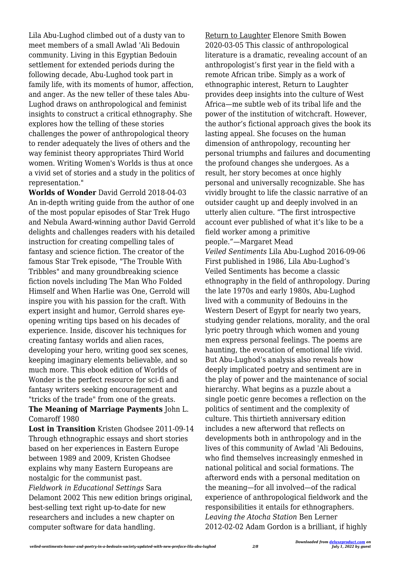Lila Abu-Lughod climbed out of a dusty van to meet members of a small Awlad 'Ali Bedouin community. Living in this Egyptian Bedouin settlement for extended periods during the following decade, Abu-Lughod took part in family life, with its moments of humor, affection, and anger. As the new teller of these tales Abu-Lughod draws on anthropological and feminist insights to construct a critical ethnography. She explores how the telling of these stories challenges the power of anthropological theory to render adequately the lives of others and the way feminist theory appropriates Third World women. Writing Women's Worlds is thus at once a vivid set of stories and a study in the politics of representation."

**Worlds of Wonder** David Gerrold 2018-04-03 An in-depth writing guide from the author of one of the most popular episodes of Star Trek Hugo and Nebula Award-winning author David Gerrold delights and challenges readers with his detailed instruction for creating compelling tales of fantasy and science fiction. The creator of the famous Star Trek episode, "The Trouble With Tribbles" and many groundbreaking science fiction novels including The Man Who Folded Himself and When Harlie was One, Gerrold will inspire you with his passion for the craft. With expert insight and humor, Gerrold shares eyeopening writing tips based on his decades of experience. Inside, discover his techniques for creating fantasy worlds and alien races, developing your hero, writing good sex scenes, keeping imaginary elements believable, and so much more. This ebook edition of Worlds of Wonder is the perfect resource for sci-fi and fantasy writers seeking encouragement and "tricks of the trade" from one of the greats.

## **The Meaning of Marriage Payments** John L. Comaroff 1980

**Lost in Transition** Kristen Ghodsee 2011-09-14 Through ethnographic essays and short stories based on her experiences in Eastern Europe between 1989 and 2009, Kristen Ghodsee explains why many Eastern Europeans are nostalgic for the communist past. *Fieldwork in Educational Settings* Sara Delamont 2002 This new edition brings original, best-selling text right up-to-date for new researchers and includes a new chapter on computer software for data handling.

Return to Laughter Elenore Smith Bowen 2020-03-05 This classic of anthropological literature is a dramatic, revealing account of an anthropologist's first year in the field with a remote African tribe. Simply as a work of ethnographic interest, Return to Laughter provides deep insights into the culture of West Africa—me subtle web of its tribal life and the power of the institution of witchcraft. However, the author's fictional approach gives the book its lasting appeal. She focuses on the human dimension of anthropology, recounting her personal triumphs and failures and documenting the profound changes she undergoes. As a result, her story becomes at once highly personal and universally recognizable. She has vividly brought to life the classic narrative of an outsider caught up and deeply involved in an utterly alien culture. "The first introspective account ever published of what it's like to be a field worker among a primitive people."—Margaret Mead *Veiled Sentiments* Lila Abu-Lughod 2016-09-06 First published in 1986, Lila Abu-Lughod's Veiled Sentiments has become a classic ethnography in the field of anthropology. During the late 1970s and early 1980s, Abu-Lughod lived with a community of Bedouins in the Western Desert of Egypt for nearly two years, studying gender relations, morality, and the oral lyric poetry through which women and young men express personal feelings. The poems are haunting, the evocation of emotional life vivid. But Abu-Lughod's analysis also reveals how deeply implicated poetry and sentiment are in the play of power and the maintenance of social hierarchy. What begins as a puzzle about a single poetic genre becomes a reflection on the politics of sentiment and the complexity of culture. This thirtieth anniversary edition includes a new afterword that reflects on developments both in anthropology and in the lives of this community of Awlad 'Ali Bedouins, who find themselves increasingly enmeshed in national political and social formations. The afterword ends with a personal meditation on the meaning—for all involved—of the radical experience of anthropological fieldwork and the responsibilities it entails for ethnographers. *Leaving the Atocha Station* Ben Lerner 2012-02-02 Adam Gordon is a brilliant, if highly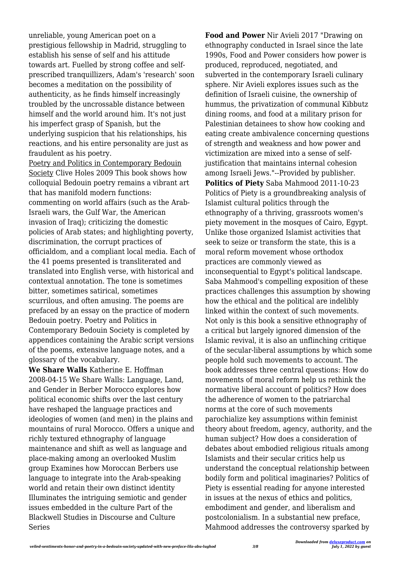unreliable, young American poet on a prestigious fellowship in Madrid, struggling to establish his sense of self and his attitude towards art. Fuelled by strong coffee and selfprescribed tranquillizers, Adam's 'research' soon becomes a meditation on the possibility of authenticity, as he finds himself increasingly troubled by the uncrossable distance between himself and the world around him. It's not just his imperfect grasp of Spanish, but the underlying suspicion that his relationships, his reactions, and his entire personality are just as fraudulent as his poetry.

Poetry and Politics in Contemporary Bedouin Society Clive Holes 2009 This book shows how colloquial Bedouin poetry remains a vibrant art that has manifold modern functions: commenting on world affairs (such as the Arab-Israeli wars, the Gulf War, the American invasion of Iraq); criticizing the domestic policies of Arab states; and highlighting poverty, discrimination, the corrupt practices of officialdom, and a compliant local media. Each of the 41 poems presented is transliterated and translated into English verse, with historical and contextual annotation. The tone is sometimes bitter, sometimes satirical, sometimes scurrilous, and often amusing. The poems are prefaced by an essay on the practice of modern Bedouin poetry. Poetry and Politics in Contemporary Bedouin Society is completed by appendices containing the Arabic script versions of the poems, extensive language notes, and a glossary of the vocabulary.

**We Share Walls** Katherine E. Hoffman 2008-04-15 We Share Walls: Language, Land, and Gender in Berber Morocco explores how political economic shifts over the last century have reshaped the language practices and ideologies of women (and men) in the plains and mountains of rural Morocco. Offers a unique and richly textured ethnography of language maintenance and shift as well as language and place-making among an overlooked Muslim group Examines how Moroccan Berbers use language to integrate into the Arab-speaking world and retain their own distinct identity Illuminates the intriguing semiotic and gender issues embedded in the culture Part of the Blackwell Studies in Discourse and Culture Series

**Food and Power** Nir Avieli 2017 "Drawing on ethnography conducted in Israel since the late 1990s, Food and Power considers how power is produced, reproduced, negotiated, and subverted in the contemporary Israeli culinary sphere. Nir Avieli explores issues such as the definition of Israeli cuisine, the ownership of hummus, the privatization of communal Kibbutz dining rooms, and food at a military prison for Palestinian detainees to show how cooking and eating create ambivalence concerning questions of strength and weakness and how power and victimization are mixed into a sense of selfjustification that maintains internal cohesion among Israeli Jews."--Provided by publisher. **Politics of Piety** Saba Mahmood 2011-10-23 Politics of Piety is a groundbreaking analysis of Islamist cultural politics through the ethnography of a thriving, grassroots women's piety movement in the mosques of Cairo, Egypt. Unlike those organized Islamist activities that seek to seize or transform the state, this is a moral reform movement whose orthodox practices are commonly viewed as inconsequential to Egypt's political landscape. Saba Mahmood's compelling exposition of these practices challenges this assumption by showing how the ethical and the political are indelibly linked within the context of such movements. Not only is this book a sensitive ethnography of a critical but largely ignored dimension of the Islamic revival, it is also an unflinching critique of the secular-liberal assumptions by which some people hold such movements to account. The book addresses three central questions: How do movements of moral reform help us rethink the normative liberal account of politics? How does the adherence of women to the patriarchal norms at the core of such movements parochialize key assumptions within feminist theory about freedom, agency, authority, and the human subject? How does a consideration of debates about embodied religious rituals among Islamists and their secular critics help us understand the conceptual relationship between bodily form and political imaginaries? Politics of Piety is essential reading for anyone interested in issues at the nexus of ethics and politics, embodiment and gender, and liberalism and postcolonialism. In a substantial new preface, Mahmood addresses the controversy sparked by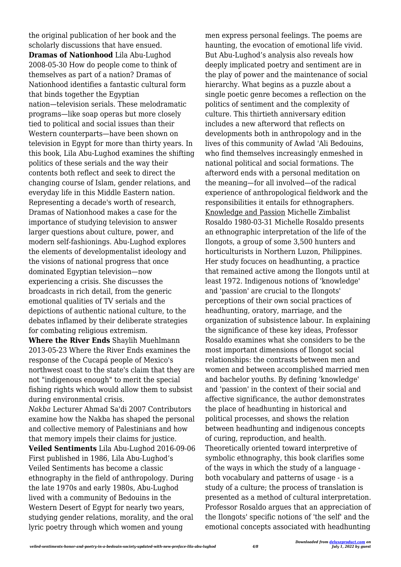the original publication of her book and the scholarly discussions that have ensued. **Dramas of Nationhood** Lila Abu-Lughod 2008-05-30 How do people come to think of themselves as part of a nation? Dramas of Nationhood identifies a fantastic cultural form that binds together the Egyptian nation—television serials. These melodramatic programs—like soap operas but more closely tied to political and social issues than their Western counterparts—have been shown on television in Egypt for more than thirty years. In this book, Lila Abu-Lughod examines the shifting politics of these serials and the way their contents both reflect and seek to direct the changing course of Islam, gender relations, and everyday life in this Middle Eastern nation. Representing a decade's worth of research, Dramas of Nationhood makes a case for the importance of studying television to answer larger questions about culture, power, and modern self-fashionings. Abu-Lughod explores the elements of developmentalist ideology and the visions of national progress that once dominated Egyptian television—now experiencing a crisis. She discusses the broadcasts in rich detail, from the generic emotional qualities of TV serials and the depictions of authentic national culture, to the debates inflamed by their deliberate strategies for combating religious extremism.

**Where the River Ends** Shaylih Muehlmann 2013-05-23 Where the River Ends examines the response of the Cucapá people of Mexico's northwest coast to the state's claim that they are not "indigenous enough" to merit the special fishing rights which would allow them to subsist during environmental crisis.

*Nakba* Lecturer Ahmad Sa'di 2007 Contributors examine how the Nakba has shaped the personal and collective memory of Palestinians and how that memory impels their claims for justice. **Veiled Sentiments** Lila Abu-Lughod 2016-09-06 First published in 1986, Lila Abu-Lughod's Veiled Sentiments has become a classic ethnography in the field of anthropology. During the late 1970s and early 1980s, Abu-Lughod lived with a community of Bedouins in the Western Desert of Egypt for nearly two years, studying gender relations, morality, and the oral lyric poetry through which women and young

men express personal feelings. The poems are haunting, the evocation of emotional life vivid. But Abu-Lughod's analysis also reveals how deeply implicated poetry and sentiment are in the play of power and the maintenance of social hierarchy. What begins as a puzzle about a single poetic genre becomes a reflection on the politics of sentiment and the complexity of culture. This thirtieth anniversary edition includes a new afterword that reflects on developments both in anthropology and in the lives of this community of Awlad 'Ali Bedouins, who find themselves increasingly enmeshed in national political and social formations. The afterword ends with a personal meditation on the meaning—for all involved—of the radical experience of anthropological fieldwork and the responsibilities it entails for ethnographers. Knowledge and Passion Michelle Zimbalist Rosaldo 1980-03-31 Michelle Rosaldo presents an ethnographic interpretation of the life of the Ilongots, a group of some 3,500 hunters and horticulturists in Northern Luzon, Philippines. Her study focuces on headhunting, a practice that remained active among the Ilongots until at least 1972. Indigenous notions of 'knowledge' and 'passion' are crucial to the Ilongots' perceptions of their own social practices of headhunting, oratory, marriage, and the organization of subsistence labour. In explaining the significance of these key ideas, Professor Rosaldo examines what she considers to be the most important dimensions of Ilongot social relationships: the contrasts between men and women and between accomplished married men and bachelor youths. By defining 'knowledge' and 'passion' in the context of their social and affective significance, the author demonstrates the place of headhunting in historical and political processes, and shows the relation between headhunting and indigenous concepts of curing, reproduction, and health. Theoretically oriented toward interpretive of symbolic ethnography, this book clarifies some of the ways in which the study of a language both vocabulary and patterns of usage - is a study of a culture; the process of translation is presented as a method of cultural interpretation. Professor Rosaldo argues that an appreciation of the Ilongots' specific notions of 'the self' and the emotional concepts associated with headhunting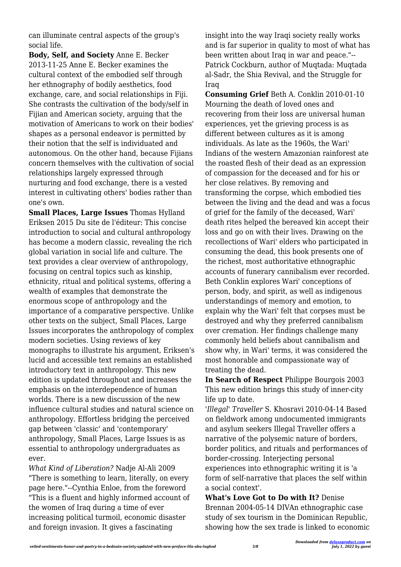can illuminate central aspects of the group's social life.

**Body, Self, and Society** Anne E. Becker 2013-11-25 Anne E. Becker examines the cultural context of the embodied self through her ethnography of bodily aesthetics, food exchange, care, and social relationships in Fiji. She contrasts the cultivation of the body/self in Fijian and American society, arguing that the motivation of Americans to work on their bodies' shapes as a personal endeavor is permitted by their notion that the self is individuated and autonomous. On the other hand, because Fijians concern themselves with the cultivation of social relationships largely expressed through nurturing and food exchange, there is a vested interest in cultivating others' bodies rather than one's own.

**Small Places, Large Issues** Thomas Hylland Eriksen 2015 Du site de l'éditeur: This concise introduction to social and cultural anthropology has become a modern classic, revealing the rich global variation in social life and culture. The text provides a clear overview of anthropology, focusing on central topics such as kinship, ethnicity, ritual and political systems, offering a wealth of examples that demonstrate the enormous scope of anthropology and the importance of a comparative perspective. Unlike other texts on the subject, Small Places, Large Issues incorporates the anthropology of complex modern societies. Using reviews of key monographs to illustrate his argument, Eriksen's lucid and accessible text remains an established introductory text in anthropology. This new edition is updated throughout and increases the emphasis on the interdependence of human worlds. There is a new discussion of the new influence cultural studies and natural science on anthropology. Effortless bridging the perceived gap between 'classic' and 'contemporary' anthropology, Small Places, Large Issues is as essential to anthropology undergraduates as ever.

*What Kind of Liberation?* Nadje Al-Ali 2009 "There is something to learn, literally, on every page here."--Cynthia Enloe, from the foreword "This is a fluent and highly informed account of the women of Iraq during a time of ever increasing political turmoil, economic disaster and foreign invasion. It gives a fascinating

insight into the way Iraqi society really works and is far superior in quality to most of what has been written about Iraq in war and peace."-- Patrick Cockburn, author of Muqtada: Muqtada al-Sadr, the Shia Revival, and the Struggle for Iraq

**Consuming Grief** Beth A. Conklin 2010-01-10 Mourning the death of loved ones and recovering from their loss are universal human experiences, yet the grieving process is as different between cultures as it is among individuals. As late as the 1960s, the Wari' Indians of the western Amazonian rainforest ate the roasted flesh of their dead as an expression of compassion for the deceased and for his or her close relatives. By removing and transforming the corpse, which embodied ties between the living and the dead and was a focus of grief for the family of the deceased, Wari' death rites helped the bereaved kin accept their loss and go on with their lives. Drawing on the recollections of Wari' elders who participated in consuming the dead, this book presents one of the richest, most authoritative ethnographic accounts of funerary cannibalism ever recorded. Beth Conklin explores Wari' conceptions of person, body, and spirit, as well as indigenous understandings of memory and emotion, to explain why the Wari' felt that corpses must be destroyed and why they preferred cannibalism over cremation. Her findings challenge many commonly held beliefs about cannibalism and show why, in Wari' terms, it was considered the most honorable and compassionate way of treating the dead.

**In Search of Respect** Philippe Bourgois 2003 This new edition brings this study of inner-city life up to date.

*'Illegal' Traveller* S. Khosravi 2010-04-14 Based on fieldwork among undocumented immigrants and asylum seekers Illegal Traveller offers a narrative of the polysemic nature of borders, border politics, and rituals and performances of border-crossing. Interjecting personal experiences into ethnographic writing it is 'a form of self-narrative that places the self within a social context'.

**What's Love Got to Do with It?** Denise Brennan 2004-05-14 DIVAn ethnographic case study of sex tourism in the Dominican Republic, showing how the sex trade is linked to economic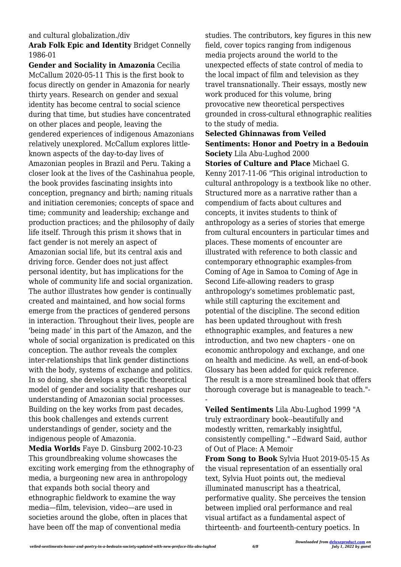#### and cultural globalization./div

#### **Arab Folk Epic and Identity** Bridget Connelly 1986-01

**Gender and Sociality in Amazonia** Cecilia McCallum 2020-05-11 This is the first book to focus directly on gender in Amazonia for nearly thirty years. Research on gender and sexual identity has become central to social science during that time, but studies have concentrated on other places and people, leaving the gendered experiences of indigenous Amazonians relatively unexplored. McCallum explores littleknown aspects of the day-to-day lives of Amazonian peoples in Brazil and Peru. Taking a closer look at the lives of the Cashinahua people, the book provides fascinating insights into conception, pregnancy and birth; naming rituals and initiation ceremonies; concepts of space and time; community and leadership; exchange and production practices; and the philosophy of daily life itself. Through this prism it shows that in fact gender is not merely an aspect of Amazonian social life, but its central axis and driving force. Gender does not just affect personal identity, but has implications for the whole of community life and social organization. The author illustrates how gender is continually created and maintained, and how social forms emerge from the practices of gendered persons in interaction. Throughout their lives, people are 'being made' in this part of the Amazon, and the whole of social organization is predicated on this conception. The author reveals the complex inter-relationships that link gender distinctions with the body, systems of exchange and politics. In so doing, she develops a specific theoretical model of gender and sociality that reshapes our understanding of Amazonian social processes. Building on the key works from past decades, this book challenges and extends current understandings of gender, society and the indigenous people of Amazonia.

**Media Worlds** Faye D. Ginsburg 2002-10-23 This groundbreaking volume showcases the exciting work emerging from the ethnography of media, a burgeoning new area in anthropology that expands both social theory and ethnographic fieldwork to examine the way media—film, television, video—are used in societies around the globe, often in places that have been off the map of conventional media

studies. The contributors, key figures in this new field, cover topics ranging from indigenous media projects around the world to the unexpected effects of state control of media to the local impact of film and television as they travel transnationally. Their essays, mostly new work produced for this volume, bring provocative new theoretical perspectives grounded in cross-cultural ethnographic realities to the study of media.

### **Selected Ghinnawas from Veiled Sentiments: Honor and Poetry in a Bedouin Society** Lila Abu-Lughod 2000

**Stories of Culture and Place** Michael G. Kenny 2017-11-06 "This original introduction to cultural anthropology is a textbook like no other. Structured more as a narrative rather than a compendium of facts about cultures and concepts, it invites students to think of anthropology as a series of stories that emerge from cultural encounters in particular times and places. These moments of encounter are illustrated with reference to both classic and contemporary ethnographic examples-from Coming of Age in Samoa to Coming of Age in Second Life-allowing readers to grasp anthropology's sometimes problematic past, while still capturing the excitement and potential of the discipline. The second edition has been updated throughout with fresh ethnographic examples, and features a new introduction, and two new chapters - one on economic anthropology and exchange, and one on health and medicine. As well, an end-of-book Glossary has been added for quick reference. The result is a more streamlined book that offers thorough coverage but is manageable to teach."-

**Veiled Sentiments** Lila Abu-Lughod 1999 "A truly extraordinary book--beautifully and modestly written, remarkably insightful, consistently compelling." --Edward Said, author of Out of Place: A Memoir

-

**From Song to Book** Sylvia Huot 2019-05-15 As the visual representation of an essentially oral text, Sylvia Huot points out, the medieval illuminated manuscript has a theatrical, performative quality. She perceives the tension between implied oral performance and real visual artifact as a fundamental aspect of thirteenth- and fourteenth-century poetics. In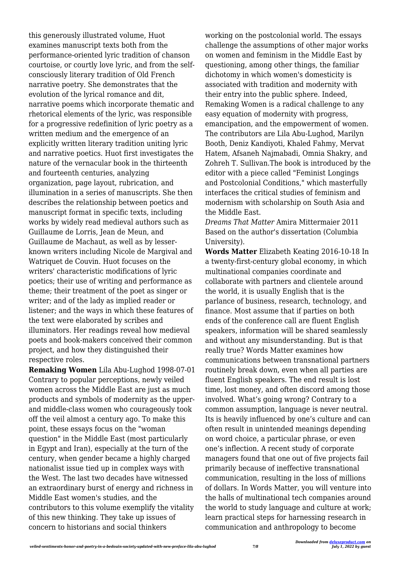this generously illustrated volume, Huot examines manuscript texts both from the performance-oriented lyric tradition of chanson courtoise, or courtly love lyric, and from the selfconsciously literary tradition of Old French narrative poetry. She demonstrates that the evolution of the lyrical romance and dit, narrative poems which incorporate thematic and rhetorical elements of the lyric, was responsible for a progressive redefinition of lyric poetry as a written medium and the emergence of an explicitly written literary tradition uniting lyric and narrative poetics. Huot first investigates the nature of the vernacular book in the thirteenth and fourteenth centuries, analyzing organization, page layout, rubrication, and illumination in a series of manuscripts. She then describes the relationship between poetics and manuscript format in specific texts, including works by widely read medieval authors such as Guillaume de Lorris, Jean de Meun, and Guillaume de Machaut, as well as by lesserknown writers including Nicole de Margival and Watriquet de Couvin. Huot focuses on the writers' characteristic modifications of lyric poetics; their use of writing and performance as theme; their treatment of the poet as singer or writer; and of the lady as implied reader or listener; and the ways in which these features of the text were elaborated by scribes and illuminators. Her readings reveal how medieval poets and book-makers conceived their common project, and how they distinguished their respective roles.

**Remaking Women** Lila Abu-Lughod 1998-07-01 Contrary to popular perceptions, newly veiled women across the Middle East are just as much products and symbols of modernity as the upperand middle-class women who courageously took off the veil almost a century ago. To make this point, these essays focus on the "woman question" in the Middle East (most particularly in Egypt and Iran), especially at the turn of the century, when gender became a highly charged nationalist issue tied up in complex ways with the West. The last two decades have witnessed an extraordinary burst of energy and richness in Middle East women's studies, and the contributors to this volume exemplify the vitality of this new thinking. They take up issues of concern to historians and social thinkers

working on the postcolonial world. The essays challenge the assumptions of other major works on women and feminism in the Middle East by questioning, among other things, the familiar dichotomy in which women's domesticity is associated with tradition and modernity with their entry into the public sphere. Indeed, Remaking Women is a radical challenge to any easy equation of modernity with progress, emancipation, and the empowerment of women. The contributors are Lila Abu-Lughod, Marilyn Booth, Deniz Kandiyoti, Khaled Fahmy, Mervat Hatem, Afsaneh Najmabadi, Omnia Shakry, and Zohreh T. Sullivan.The book is introduced by the editor with a piece called "Feminist Longings and Postcolonial Conditions," which masterfully interfaces the critical studies of feminism and modernism with scholarship on South Asia and the Middle East.

*Dreams That Matter* Amira Mittermaier 2011 Based on the author's dissertation (Columbia University).

**Words Matter** Elizabeth Keating 2016-10-18 In a twenty-first-century global economy, in which multinational companies coordinate and collaborate with partners and clientele around the world, it is usually English that is the parlance of business, research, technology, and finance. Most assume that if parties on both ends of the conference call are fluent English speakers, information will be shared seamlessly and without any misunderstanding. But is that really true? Words Matter examines how communications between transnational partners routinely break down, even when all parties are fluent English speakers. The end result is lost time, lost money, and often discord among those involved. What's going wrong? Contrary to a common assumption, language is never neutral. Its is heavily influenced by one's culture and can often result in unintended meanings depending on word choice, a particular phrase, or even one's inflection. A recent study of corporate managers found that one out of five projects fail primarily because of ineffective transnational communication, resulting in the loss of millions of dollars. In Words Matter, you will venture into the halls of multinational tech companies around the world to study language and culture at work; learn practical steps for harnessing research in communication and anthropology to become